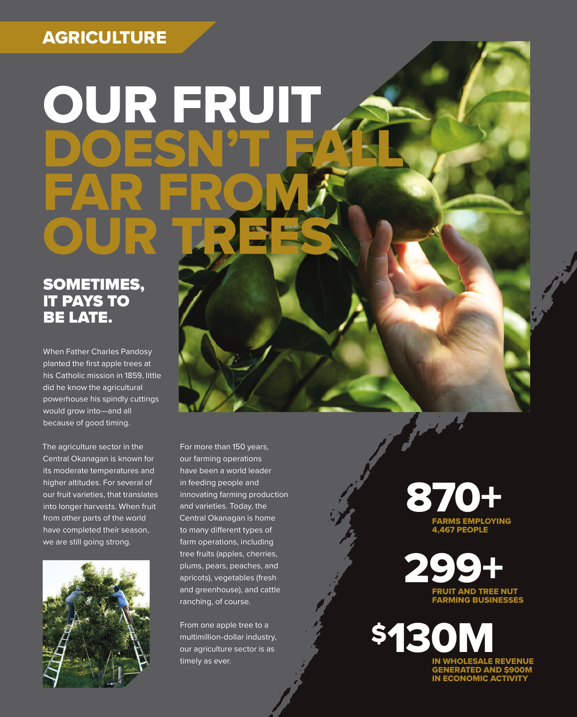### AGRICULTURE

# OUR FRUIT DOESN'T FALL FAR FROM OUR LRES

#### SOMETIMES, IT PAYS TO BE LATE.

When Father Charles Pandosy planted the first apple trees at his Catholic mission in 1859, little did he know the agricultural powerhouse his spindly cuttings would grow into—and all because of good timing.

The agriculture sector in the Central Okanagan is known for its moderate temperatures and higher altitudes. For several of our fruit varieties, that translates into longer harvests. When fruit from other parts of the world have completed their season, we are still going strong.



For more than 150 years, our farming operations have been a world leader in feeding people and innovating farming production and varieties. Today, the Central Okanagan is home to many different types of farm operations, including tree fruits (apples, cherries, plums, pears, peaches, and apricots), vegetables (fresh and greenhouse), and cattle ranching, of course.

From one apple tree to a multimillion-dollar industry, our agriculture sector is as



FRUIT AND TREE NUT FARMING BUSINESSES  $229$ 

timely as ever. **IN WHOLESALE REVENUE** NERATED AND \$90 IN ECONOMIC ACTIVITY \$130M